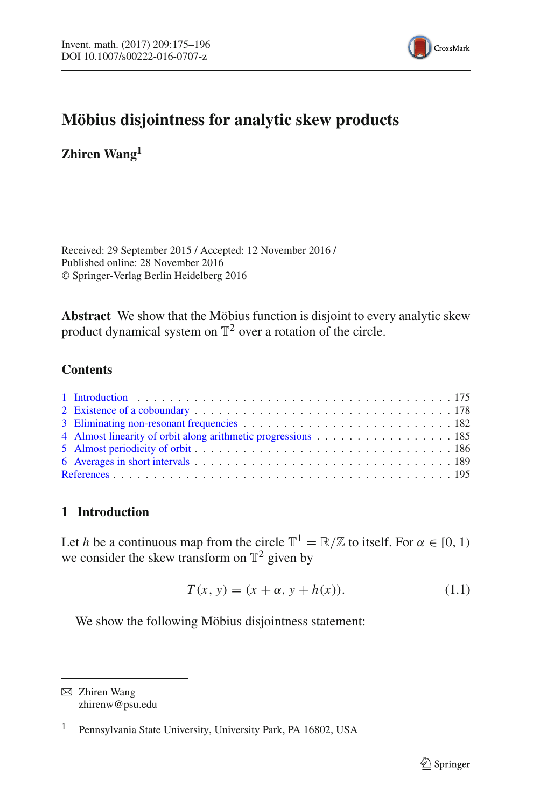

# **Möbius disjointness for analytic skew products**

**Zhiren Wang1**

Received: 29 September 2015 / Accepted: 12 November 2016 / Published online: 28 November 2016 © Springer-Verlag Berlin Heidelberg 2016

**Abstract** We show that the Möbius function is disjoint to every analytic skew product dynamical system on  $\mathbb{T}^2$  over a rotation of the circle.

# **Contents**

| 4 Almost linearity of orbit along arithmetic progressions 185 |
|---------------------------------------------------------------|
|                                                               |
|                                                               |
|                                                               |

# <span id="page-0-0"></span>**1 Introduction**

Let *h* be a continuous map from the circle  $\mathbb{T}^1 = \mathbb{R}/\mathbb{Z}$  to itself. For  $\alpha \in [0, 1)$ we consider the skew transform on  $\mathbb{T}^2$  given by

$$
T(x, y) = (x + \alpha, y + h(x)).
$$
 (1.1)

<span id="page-0-2"></span><span id="page-0-1"></span>We show the following Möbius disjointness statement:

 $\boxtimes$  Zhiren Wang zhirenw@psu.edu

<sup>1</sup> Pennsylvania State University, University Park, PA 16802, USA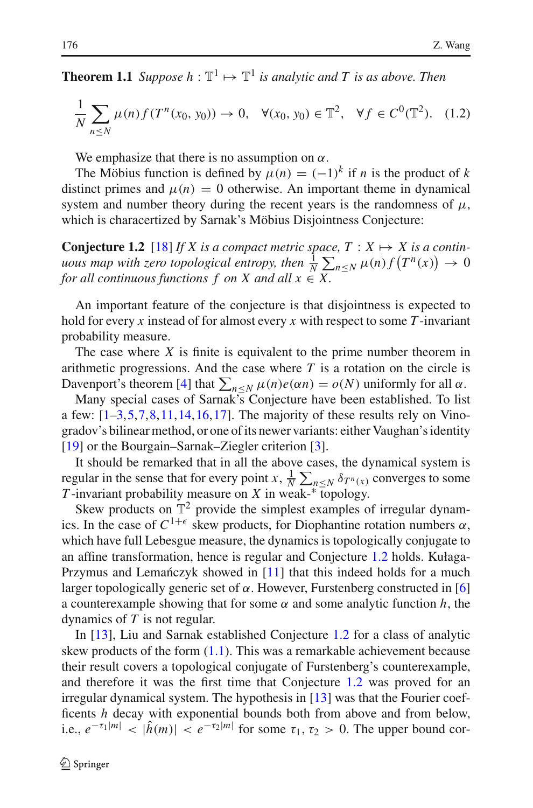<span id="page-1-1"></span>**Theorem 1.1** *Suppose*  $h : \mathbb{T}^1 \mapsto \mathbb{T}^1$  *is analytic and T is as above. Then* 

$$
\frac{1}{N} \sum_{n \le N} \mu(n) f(T^n(x_0, y_0)) \to 0, \quad \forall (x_0, y_0) \in \mathbb{T}^2, \quad \forall f \in C^0(\mathbb{T}^2). \tag{1.2}
$$

We emphasize that there is no assumption on  $\alpha$ .

The Möbius function is defined by  $\mu(n) = (-1)^k$  if *n* is the product of *k* distinct primes and  $\mu(n) = 0$  otherwise. An important theme in dynamical system and number theory during the recent years is the randomness of  $\mu$ , which is characertized by Sarnak's Möbius Disjointness Conjecture:

<span id="page-1-0"></span>**Conjecture 1.2** [\[18\]](#page-21-0) *If X is a compact metric space,*  $T : X \mapsto X$  *is a continuous map with zero topological entropy, then*  $\frac{1}{N} \sum_{n \leq N} \mu(n) f(T^n(x)) \to 0$ *for all continuous functions f on X and all*  $x \in X$ .

An important feature of the conjecture is that disjointness is expected to hold for every *x* instead of for almost every *x* with respect to some *T* -invariant probability measure.

The case where *X* is finite is equivalent to the prime number theorem in arithmetic progressions. And the case where *T* is a rotation on the circle is Davenport's theorem [\[4](#page-20-1)] that  $\sum_{n \leq N} \mu(n)e(\alpha n) = o(N)$  uniformly for all  $\alpha$ .

Many special cases of Sarnak's Conjecture have been established. To list a few:  $[1-3, 5, 7, 8, 11, 14, 16, 17]$  $[1-3, 5, 7, 8, 11, 14, 16, 17]$  $[1-3, 5, 7, 8, 11, 14, 16, 17]$  $[1-3, 5, 7, 8, 11, 14, 16, 17]$  $[1-3, 5, 7, 8, 11, 14, 16, 17]$  $[1-3, 5, 7, 8, 11, 14, 16, 17]$  $[1-3, 5, 7, 8, 11, 14, 16, 17]$  $[1-3, 5, 7, 8, 11, 14, 16, 17]$ . The majority of these results rely on Vinogradov's bilinear method, or one of its newer variants: either Vaughan's identity [\[19](#page-21-8)] or the Bourgain–Sarnak–Ziegler criterion [\[3\]](#page-20-3).

It should be remarked that in all the above cases, the dynamical system is regular in the sense that for every point *x*,  $\frac{1}{N} \sum_{n \le N} \delta T^n(x)$  converges to some *T* -invariant probability measure on *X* in weak-∗ topology.

Skew products on  $\mathbb{T}^2$  provide the simplest examples of irregular dynamics. In the case of  $C^{1+\epsilon}$  skew products, for Diophantine rotation numbers  $\alpha$ , which have full Lebesgue measure, the dynamics is topologically conjugate to an affine transformation, hence is regular and Conjecture [1.2](#page-1-0) holds. Kułaga-Przymus and Lemańczyk showed in [\[11](#page-21-4)] that this indeed holds for a much larger topologically generic set of  $\alpha$ . However, Furstenberg constructed in [\[6](#page-21-9)] a counterexample showing that for some  $\alpha$  and some analytic function  $h$ , the dynamics of *T* is not regular.

In [\[13](#page-21-10)], Liu and Sarnak established Conjecture [1.2](#page-1-0) for a class of analytic skew products of the form [\(1.1\)](#page-0-1). This was a remarkable achievement because their result covers a topological conjugate of Furstenberg's counterexample, and therefore it was the first time that Conjecture [1.2](#page-1-0) was proved for an irregular dynamical system. The hypothesis in [\[13\]](#page-21-10) was that the Fourier coefficents *h* decay with exponential bounds both from above and from below, i.e.,  $e^{-\tau_1|m|} < |\hat{h}(m)| < e^{-\tau_2|m|}$  for some  $\tau_1, \tau_2 > 0$ . The upper bound cor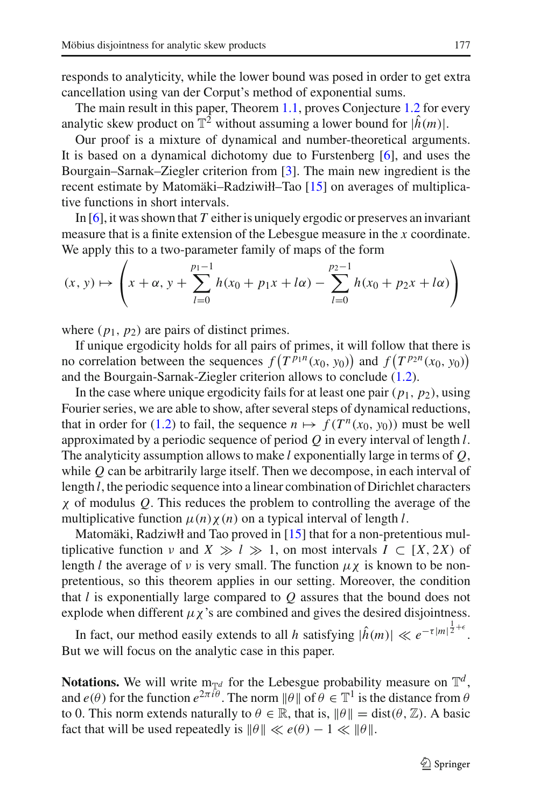responds to analyticity, while the lower bound was posed in order to get extra cancellation using van der Corput's method of exponential sums.

The main result in this paper, Theorem [1.1,](#page-0-2) proves Conjecture [1.2](#page-1-0) for every analytic skew product on  $\mathbb{T}^2$  without assuming a lower bound for  $|\hat{h}(m)|$ .

Our proof is a mixture of dynamical and number-theoretical arguments. It is based on a dynamical dichotomy due to Furstenberg [\[6](#page-21-9)], and uses the Bourgain–Sarnak–Ziegler criterion from [\[3](#page-20-3)]. The main new ingredient is the recent estimate by Matomäki–Radziwiłł–Tao [\[15](#page-21-11)] on averages of multiplicative functions in short intervals.

In [\[6\]](#page-21-9), it was shown that *T* either is uniquely ergodic or preserves an invariant measure that is a finite extension of the Lebesgue measure in the *x* coordinate. We apply this to a two-parameter family of maps of the form

$$
(x, y) \mapsto \left( x + \alpha, y + \sum_{l=0}^{p_1 - 1} h(x_0 + p_1 x + l\alpha) - \sum_{l=0}^{p_2 - 1} h(x_0 + p_2 x + l\alpha) \right)
$$

where  $(p_1, p_2)$  are pairs of distinct primes.

If unique ergodicity holds for all pairs of primes, it will follow that there is no correlation between the sequences  $f(T^{p_1n}(x_0, y_0))$  and  $f(T^{p_2n}(x_0, y_0))$ and the Bourgain-Sarnak-Ziegler criterion allows to conclude [\(1.2\)](#page-1-1).

In the case where unique ergodicity fails for at least one pair  $(p_1, p_2)$ , using Fourier series, we are able to show, after several steps of dynamical reductions, that in order for [\(1.2\)](#page-1-1) to fail, the sequence  $n \mapsto f(T^n(x_0, y_0))$  must be well approximated by a periodic sequence of period *Q* in every interval of length *l*. The analyticity assumption allows to make *l* exponentially large in terms of *Q*, while *Q* can be arbitrarily large itself. Then we decompose, in each interval of length *l*, the periodic sequence into a linear combination of Dirichlet characters χ of modulus *Q*. This reduces the problem to controlling the average of the multiplicative function  $\mu(n)\chi(n)$  on a typical interval of length *l*.

Matomäki, Radziwłł and Tao proved in [\[15\]](#page-21-11) that for a non-pretentious multiplicative function  $\nu$  and  $X \gg l \gg 1$ , on most intervals  $I \subset [X, 2X)$  of length *l* the average of *v* is very small. The function  $\mu \chi$  is known to be nonpretentious, so this theorem applies in our setting. Moreover, the condition that *l* is exponentially large compared to *Q* assures that the bound does not explode when different  $\mu \chi$ 's are combined and gives the desired disjointness.

In fact, our method easily extends to all *h* satisfying  $|\hat{h}(m)| \ll e^{-\tau |m|^{\frac{1}{2}+\epsilon}}$ . But we will focus on the analytic case in this paper.

**Notations.** We will write  $m_{\mathbb{T}^d}$  for the Lebesgue probability measure on  $\mathbb{T}^d$ , and  $e(\theta)$  for the function  $e^{2\pi i \theta}$ . The norm  $\|\theta\|$  of  $\theta \in \mathbb{T}^1$  is the distance from  $\theta$ to 0. This norm extends naturally to  $\theta \in \mathbb{R}$ , that is,  $\|\theta\| = \text{dist}(\theta, \mathbb{Z})$ . A basic fact that will be used repeatedly is  $\|\theta\| \ll e(\theta) - 1 \ll \|\theta\|$ .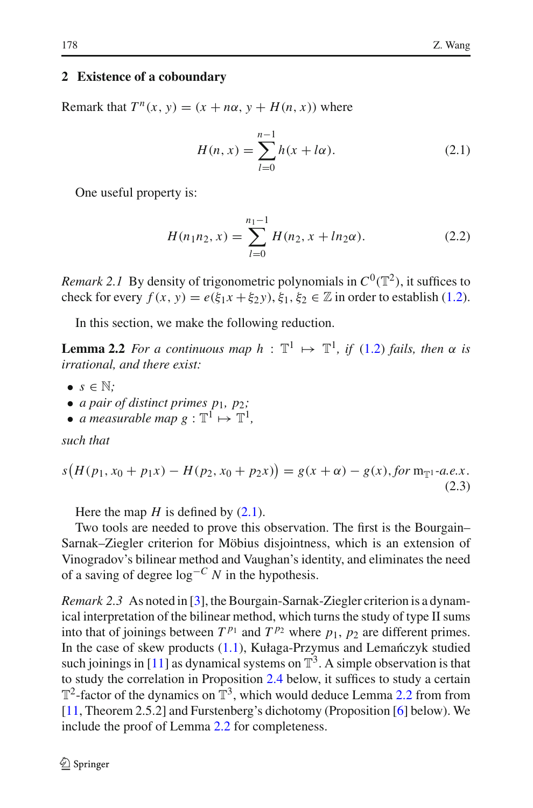#### <span id="page-3-0"></span>**2 Existence of a coboundary**

Remark that  $T^n(x, y) = (x + n\alpha, y + H(n, x))$  where

$$
H(n, x) = \sum_{l=0}^{n-1} h(x + l\alpha).
$$
 (2.1)

<span id="page-3-5"></span><span id="page-3-1"></span>One useful property is:

$$
H(n_1n_2, x) = \sum_{l=0}^{n_1-1} H(n_2, x + ln_2\alpha).
$$
 (2.2)

<span id="page-3-4"></span>*Remark 2.1* By density of trigonometric polynomials in  $C^0(\mathbb{T}^2)$ , it suffices to check for every  $f(x, y) = e(\xi_1 x + \xi_2 y), \xi_1, \xi_2 \in \mathbb{Z}$  in order to establish [\(1.2\)](#page-1-1).

In this section, we make the following reduction.

<span id="page-3-3"></span>**Lemma 2.2** *For a continuous map*  $h : \mathbb{T}^1 \mapsto \mathbb{T}^1$ , *if* [\(1.2\)](#page-1-1) *fails, then*  $\alpha$  *is irrational, and there exist:*

- $\bullet$   $s \in \mathbb{N}$ ;
- *a pair of distinct primes p*1*, p*2*;*
- *a measurable map*  $g : \mathbb{T}^1 \mapsto \mathbb{T}^1$ ,

*such that*

<span id="page-3-6"></span>
$$
s\big(H(p_1, x_0 + p_1x) - H(p_2, x_0 + p_2x)\big) = g(x + \alpha) - g(x), \text{for } m_{\mathbb{T}^1} \text{-}a.e. x. \tag{2.3}
$$

Here the map  $H$  is defined by  $(2.1)$ .

Two tools are needed to prove this observation. The first is the Bourgain– Sarnak–Ziegler criterion for Möbius disjointness, which is an extension of Vinogradov's bilinear method and Vaughan's identity, and eliminates the need of a saving of degree log−*<sup>C</sup> N* in the hypothesis.

<span id="page-3-2"></span>*Remark 2.3* As noted in [\[3\]](#page-20-3), the Bourgain-Sarnak-Ziegler criterion is a dynamical interpretation of the bilinear method, which turns the study of type II sums into that of joinings between  $T^{p_1}$  and  $T^{p_2}$  where  $p_1$ ,  $p_2$  are different primes. In the case of skew products  $(1.1)$ , Kułaga-Przymus and Lemańczyk studied such joinings in [\[11\]](#page-21-4) as dynamical systems on  $\mathbb{T}^3$ . A simple observation is that to study the correlation in Proposition [2.4](#page-3-2) below, it suffices to study a certain  $\mathbb{T}^2$ -factor of the dynamics on  $\mathbb{T}^3$ , which would deduce Lemma [2.2](#page-3-3) from from [\[11](#page-21-4), Theorem 2.5.2] and Furstenberg's dichotomy (Proposition [\[6](#page-21-9)] below). We include the proof of Lemma [2.2](#page-3-3) for completeness.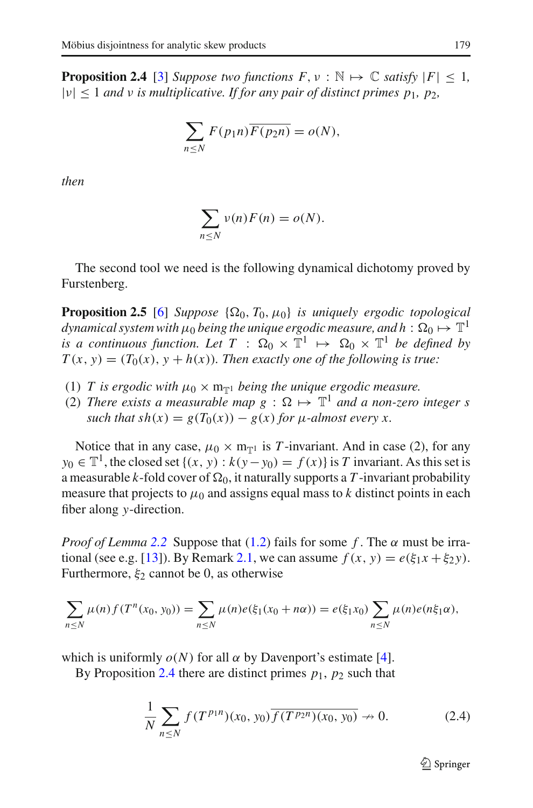**Proposition 2.4** [\[3](#page-20-3)] *Suppose two functions*  $F, v : \mathbb{N} \mapsto \mathbb{C}$  *satisfy*  $|F| \leq 1$ *,*  $|v|$  < 1 *and v is multiplicative. If for any pair of distinct primes p<sub>1</sub>, p<sub>2</sub>,* 

$$
\sum_{n\leq N} F(p_1 n) \overline{F(p_2 n)} = o(N),
$$

*then*

$$
\sum_{n\leq N}\nu(n)F(n)=o(N).
$$

<span id="page-4-1"></span>The second tool we need is the following dynamical dichotomy proved by Furstenberg.

**Proposition 2.5** [\[6](#page-21-9)] *Suppose*  $\{\Omega_0, T_0, \mu_0\}$  *is uniquely ergodic topological dynamical system with*  $\mu_0$  *being the unique ergodic measure, and h* :  $\Omega_0 \mapsto \mathbb{T}^1$ *is a continuous function. Let*  $T : \Omega_0 \times \mathbb{T}^1 \mapsto \Omega_0 \times \mathbb{T}^1$  *be defined by*  $T(x, y) = (T_0(x), y + h(x))$ . Then exactly one of the following is true:

- (1) *T* is ergodic with  $\mu_0 \times m_{\overline{n}1}$  being the unique ergodic measure.
- (2) *There exists a measurable map g* :  $\Omega \mapsto \mathbb{T}^1$  *and a non-zero integer s such that sh*(*x*) =  $g(T_0(x)) - g(x)$  *for*  $\mu$ *-almost every x.*

Notice that in any case,  $\mu_0 \times m_{\overline{n}1}$  is T-invariant. And in case (2), for any *y*<sub>0</sub> ∈  $\mathbb{T}^1$ , the closed set {(*x*, *y*) : *k*(*y*−*y*<sub>0</sub>) = *f*(*x*)} is *T* invariant. As this set is a measurable *k*-fold cover of  $\Omega_0$ , it naturally supports a T-invariant probability measure that projects to  $\mu_0$  and assigns equal mass to *k* distinct points in each fiber along *y*-direction.

*Proof of Lemma* [2.2](#page-3-3) Suppose that  $(1.2)$  fails for some f. The  $\alpha$  must be irra-tional (see e.g. [\[13\]](#page-21-10)). By Remark [2.1,](#page-3-4) we can assume  $f(x, y) = e(\xi_1 x + \xi_2 y)$ . Furthermore,  $\xi_2$  cannot be 0, as otherwise

$$
\sum_{n \leq N} \mu(n) f(T^n(x_0, y_0)) = \sum_{n \leq N} \mu(n) e(\xi_1(x_0 + n\alpha)) = e(\xi_1 x_0) \sum_{n \leq N} \mu(n) e(n\xi_1\alpha),
$$

which is uniformly  $o(N)$  for all  $\alpha$  by Davenport's estimate [\[4](#page-20-1)].

<span id="page-4-0"></span>By Proposition [2.4](#page-3-2) there are distinct primes  $p_1$ ,  $p_2$  such that

$$
\frac{1}{N} \sum_{n \le N} f(T^{p_1 n})(x_0, y_0) \overline{f(T^{p_2 n})(x_0, y_0)} \to 0. \tag{2.4}
$$

 $\circledcirc$  Springer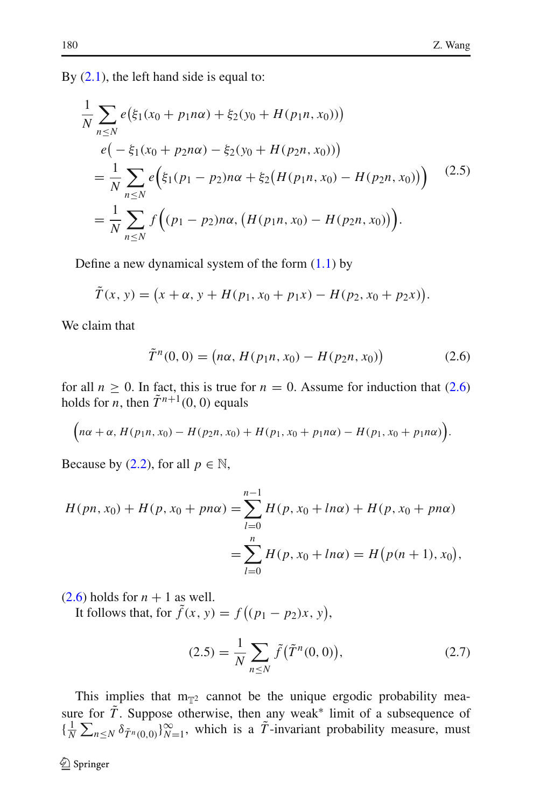By  $(2.1)$ , the left hand side is equal to:

<span id="page-5-1"></span>
$$
\frac{1}{N} \sum_{n \le N} e(\xi_1(x_0 + p_1 n\alpha) + \xi_2(y_0 + H(p_1 n, x_0)))
$$
\n
$$
e(-\xi_1(x_0 + p_2 n\alpha) - \xi_2(y_0 + H(p_2 n, x_0)))
$$
\n
$$
= \frac{1}{N} \sum_{n \le N} e(\xi_1(p_1 - p_2) n\alpha + \xi_2(H(p_1 n, x_0) - H(p_2 n, x_0)))
$$
\n
$$
= \frac{1}{N} \sum_{n \le N} f((p_1 - p_2) n\alpha, (H(p_1 n, x_0) - H(p_2 n, x_0)))
$$
\n(2.5)

Define a new dynamical system of the form  $(1.1)$  by

$$
\tilde{T}(x, y) = (x + \alpha, y + H(p_1, x_0 + p_1 x) - H(p_2, x_0 + p_2 x)).
$$

<span id="page-5-0"></span>We claim that

$$
\tilde{T}^{n}(0,0) = (n\alpha, H(p_{1}n, x_{0}) - H(p_{2}n, x_{0}))
$$
\n(2.6)

for all  $n \ge 0$ . In fact, this is true for  $n = 0$ . Assume for induction that [\(2.6\)](#page-5-0) holds for *n*, then  $\tilde{T}^{n+1}(0, 0)$  equals

$$
(n\alpha + \alpha, H(p_1n, x_0) - H(p_2n, x_0) + H(p_1, x_0 + p_1n\alpha) - H(p_1, x_0 + p_1n\alpha)).
$$

Because by [\(2.2\)](#page-3-5), for all  $p \in \mathbb{N}$ ,

$$
H(pn, x_0) + H(p, x_0 + pn\alpha) = \sum_{l=0}^{n-1} H(p, x_0 + ln\alpha) + H(p, x_0 + pn\alpha)
$$
  
= 
$$
\sum_{l=0}^{n} H(p, x_0 + ln\alpha) = H(p(n+1), x_0),
$$

 $(2.6)$  holds for  $n + 1$  as well.

It follows that, for  $f(x, y) = f((p_1 - p_2)x, y)$ ,

$$
(2.5) = \frac{1}{N} \sum_{n \le N} \tilde{f}(\tilde{T}^n(0,0)),
$$
 (2.7)

This implies that  $m_{\mathbb{T}^2}$  cannot be the unique ergodic probability measure for  $\tilde{T}$ . Suppose otherwise, then any weak<sup>\*</sup> limit of a subsequence of  $\{\frac{1}{N}\sum_{n\leq N}\delta_{\tilde{T}^n(0,0)}\}_{N=1}^{\infty}$ , which is a  $\tilde{T}$ -invariant probability measure, must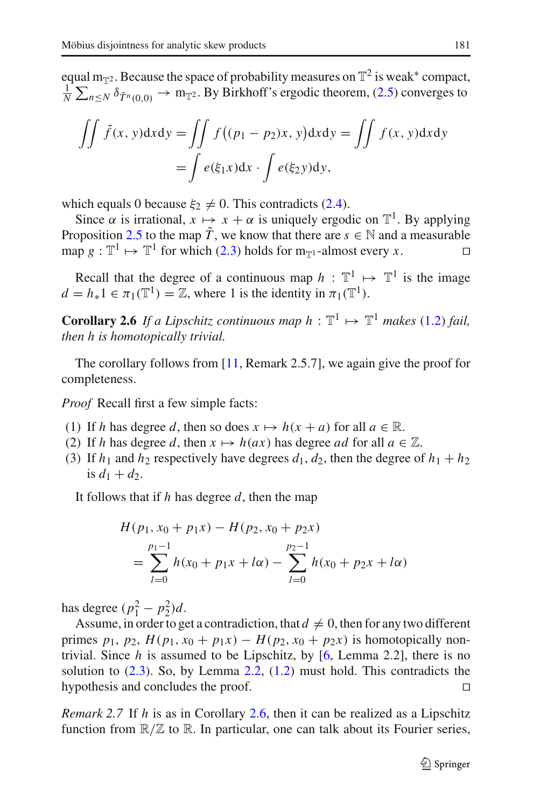equal m<sub>T2</sub>. Because the space of probability measures on  $\mathbb{T}^2$  is weak\* compact, 1  $\frac{1}{N}$   $\sum_{n \leq N} \delta_{\tilde{T}^n(0,0)} \to m_{\mathbb{T}^2}$ . By Birkhoff's ergodic theorem, [\(2.5\)](#page-5-1) converges to

$$
\iint \tilde{f}(x, y) dxdy = \iint f((p_1 - p_2)x, y) dxdy = \iint f(x, y) dxdy
$$

$$
= \int e(\xi_1 x) dx \cdot \int e(\xi_2 y) dy,
$$

which equals 0 because  $\xi_2 \neq 0$ . This contradicts [\(2.4\)](#page-4-0).

Since  $\alpha$  is irrational,  $x \mapsto x + \alpha$  is uniquely ergodic on  $\mathbb{T}^1$ . By applying Proposition [2.5](#page-4-1) to the map  $\tilde{T}$ , we know that there are  $s \in \mathbb{N}$  and a measurable map  $g : \mathbb{T}^1 \mapsto \mathbb{T}^1$  for which [\(2.3\)](#page-3-6) holds for  $m_{\mathbb{T}^1}$ -almost every *x*.

<span id="page-6-0"></span>Recall that the degree of a continuous map  $h : \mathbb{T}^1 \mapsto \mathbb{T}^1$  is the image  $d = h_* 1 \in \pi_1(\mathbb{T}^1) = \mathbb{Z}$ , where 1 is the identity in  $\pi_1(\mathbb{T}^1)$ .

**Corollary 2.6** *If a Lipschitz continuous map*  $h : \mathbb{T}^1 \mapsto \mathbb{T}^1$  *makes* [\(1.2\)](#page-1-1) *fail, then h is homotopically trivial.*

The corollary follows from [\[11](#page-21-4), Remark 2.5.7], we again give the proof for completeness.

*Proof* Recall first a few simple facts:

- (1) If *h* has degree *d*, then so does  $x \mapsto h(x + a)$  for all  $a \in \mathbb{R}$ .
- (2) If *h* has degree *d*, then  $x \mapsto h(ax)$  has degree *ad* for all  $a \in \mathbb{Z}$ .
- (3) If  $h_1$  and  $h_2$  respectively have degrees  $d_1, d_2$ , then the degree of  $h_1 + h_2$ is  $d_1 + d_2$ .

It follows that if *h* has degree *d*, then the map

$$
H(p_1, x_0 + p_1 x) - H(p_2, x_0 + p_2 x)
$$
  
= 
$$
\sum_{l=0}^{p_1-1} h(x_0 + p_1 x + l\alpha) - \sum_{l=0}^{p_2-1} h(x_0 + p_2 x + l\alpha)
$$

has degree  $(p_1^2 - p_2^2)d$ .

Assume, in order to get a contradiction, that  $d \neq 0$ , then for any two different primes  $p_1$ ,  $p_2$ ,  $H(p_1, x_0 + p_1x) - H(p_2, x_0 + p_2x)$  is homotopically nontrivial. Since *h* is assumed to be Lipschitz, by [\[6](#page-21-9), Lemma 2.2], there is no solution to  $(2.3)$ . So, by Lemma [2.2,](#page-3-3)  $(1.2)$  must hold. This contradicts the hypothesis and concludes the proof.  $\Box$ 

*Remark 2.7* If *h* is as in Corollary [2.6,](#page-6-0) then it can be realized as a Lipschitz function from  $\mathbb{R}/\mathbb{Z}$  to  $\mathbb{R}$ . In particular, one can talk about its Fourier series,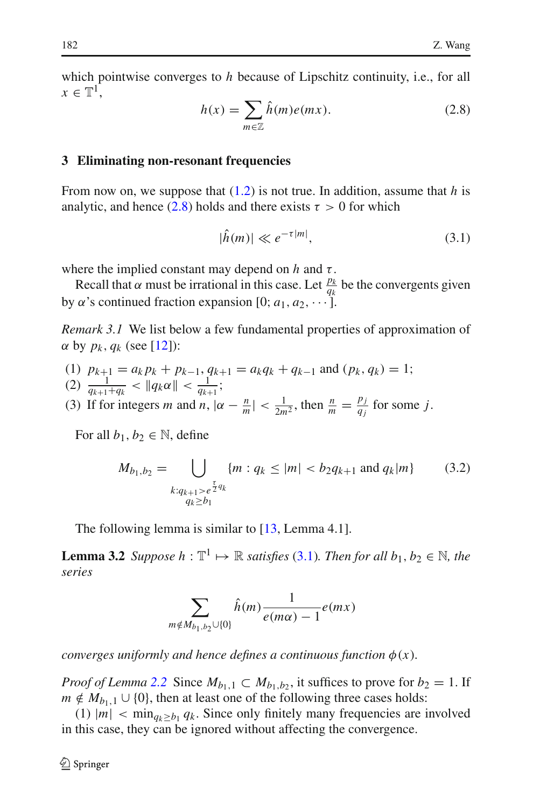<span id="page-7-1"></span>which pointwise converges to *h* because of Lipschitz continuity, i.e., for all  $x \in \mathbb{T}^1$ .

$$
h(x) = \sum_{m \in \mathbb{Z}} \hat{h}(m)e(mx). \tag{2.8}
$$

#### <span id="page-7-0"></span>**3 Eliminating non-resonant frequencies**

From now on, we suppose that [\(1.2\)](#page-1-1) is not true. In addition, assume that *h* is analytic, and hence [\(2.8\)](#page-7-1) holds and there exists  $\tau > 0$  for which

$$
|\hat{h}(m)| \ll e^{-\tau |m|},\tag{3.1}
$$

<span id="page-7-2"></span>where the implied constant may depend on  $h$  and  $\tau$ .

<span id="page-7-3"></span>Recall that  $\alpha$  must be irrational in this case. Let  $\frac{p_k}{q_k}$  be the convergents given by  $\alpha$ 's continued fraction expansion [0;  $a_1, a_2, \cdots$ ].

*Remark 3.1* We list below a few fundamental properties of approximation of  $\alpha$  by  $p_k$ ,  $q_k$  (see [\[12\]](#page-21-12)):

- (1) *pk*+<sup>1</sup> = *ak pk* + *pk*−1, *qk*+<sup>1</sup> = *akqk* + *qk*−<sup>1</sup> and (*pk* , *qk* ) = 1;
- (2)  $\frac{1}{q_{k+1}+q_k} < ||q_k \alpha|| < \frac{1}{q_{k+1}};$
- (3) If for integers *m* and *n*,  $|\alpha \frac{n}{m}| < \frac{1}{2m^2}$ , then  $\frac{n}{m} = \frac{p_j}{q_j}$  for some *j*.

For all  $b_1, b_2 \in \mathbb{N}$ , define

$$
M_{b_1, b_2} = \bigcup_{\substack{\tau \\ k: q_{k+1} > e^{\frac{\tau}{2}q_k} \\ q_k \ge b_1}} \{m : q_k \le |m| < b_2 q_{k+1} \text{ and } q_k | m \} \tag{3.2}
$$

The following lemma is similar to  $[13, \text{Lemma } 4.1]$  $[13, \text{Lemma } 4.1]$ .

<span id="page-7-4"></span>**Lemma 3.2** *Suppose*  $h : \mathbb{T}^1 \mapsto \mathbb{R}$  *satisfies* [\(3.1\)](#page-7-2)*. Then for all*  $b_1, b_2 \in \mathbb{N}$ *, the series*

$$
\sum_{m \notin M_{b_1,b_2} \cup \{0\}} \hat{h}(m) \frac{1}{e(m\alpha) - 1} e(mx)
$$

*converges uniformly and hence defines a continuous function*  $\phi(x)$ *.* 

*Proof of Lemma* [2.2](#page-3-3) Since  $M_{b_1,1} \subset M_{b_1,b_2}$ , it suffices to prove for  $b_2 = 1$ . If  $m \notin M_{b_1,1} \cup \{0\}$ , then at least one of the following three cases holds:

(1)  $|m| < min_{q_k \geq b_1} q_k$ . Since only finitely many frequencies are involved in this case, they can be ignored without affecting the convergence.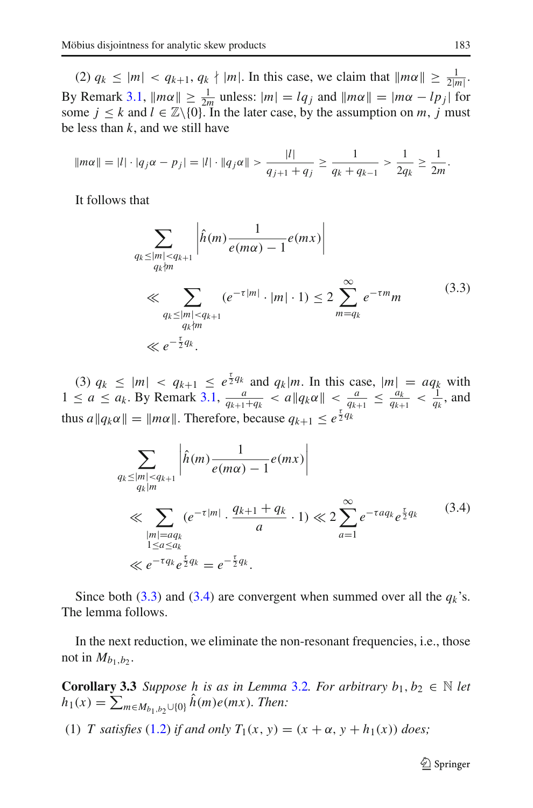(2)  $q_k \leq |m| < q_{k+1}, q_k \nmid |m|$ . In this case, we claim that  $\|m\alpha\| \geq \frac{1}{2|m|}$ . 2|*m*| By Remark [3.1,](#page-7-3)  $\|m\alpha\| \ge \frac{1}{2m}$  unless:  $|m| = lq_j$  and  $\|m\alpha\| = |m\alpha - lp_j|$  for some  $j \leq k$  and  $l \in \mathbb{Z} \setminus \{0\}$ . In the later case, by the assumption on *m*, *j* must be less than *k*, and we still have

$$
\|m\alpha\| = |l| \cdot |q_j\alpha - p_j| = |l| \cdot \|q_j\alpha\| > \frac{|l|}{q_{j+1} + q_j} \ge \frac{1}{q_k + q_{k-1}} > \frac{1}{2q_k} \ge \frac{1}{2m}.
$$

<span id="page-8-0"></span>It follows that

$$
\sum_{\substack{q_k \le |m| < q_{k+1} \\ q_k \nmid m}} \left| \hat{h}(m) \frac{1}{e(m\alpha) - 1} e(mx) \right|
$$
\n
$$
\ll \sum_{\substack{q_k \le |m| < q_{k+1} \\ q_k \nmid m}} (e^{-\tau |m|} \cdot |m| \cdot 1) \le 2 \sum_{m=q_k}^{\infty} e^{-\tau m} m \tag{3.3}
$$
\n
$$
\ll e^{-\frac{\tau}{2} q_k}.
$$

(3)  $q_k \leq |m| < q_{k+1} \leq e^{\frac{\tau}{2}q_k}$  and  $q_k|m$ . In this case,  $|m| = aq_k$  with  $1 \le a \le a_k$ . By Remark [3.1,](#page-7-3)  $\frac{a}{q_{k+1}+q_k} < a \| q_k \alpha \| < \frac{a}{q_{k+1}} \le \frac{a_k}{q_{k+1}} < \frac{1}{q_k}$ , and thus  $a||q_k\alpha|| = ||m\alpha||$ . Therefore, because  $q_{k+1} \leq e^{\frac{\tau}{2}q_k}$ 

$$
\sum_{\substack{q_k \le |m| < q_{k+1} \\ q_k|m}} \left| \hat{h}(m) \frac{1}{e(m\alpha) - 1} e(mx) \right|
$$
\n
$$
\ll \sum_{\substack{|m| = aq_k \\ 1 \le a \le a_k \\ n \ll e^{-\tau q_k} e^{\frac{\tau}{2} q_k} = e^{-\frac{\tau}{2} q_k}}} \frac{(e^{-\tau |m|} \cdot \frac{q_{k+1} + q_k}{a} \cdot 1) \ll 2 \sum_{a=1}^{\infty} e^{-\tau a q_k} e^{\frac{\tau}{2} q_k} \tag{3.4}
$$

<span id="page-8-1"></span>Since both [\(3.3\)](#page-8-0) and [\(3.4\)](#page-8-1) are convergent when summed over all the  $q_k$ 's. The lemma follows.

<span id="page-8-2"></span>In the next reduction, we eliminate the non-resonant frequencies, i.e., those not in  $M_{b_1,b_2}$ .

**Corollary 3.3** *Suppose h is as in Lemma* [3.2](#page-7-4)*. For arbitrary b*<sub>1</sub>, *b*<sub>2</sub>  $\in$  *N let*  $h_1(x) = \sum_{m \in M_{b_1,b_2} \cup \{0\}} h(m)e(mx)$ *. Then:* 

(1) *T* satisfies [\(1.2\)](#page-1-1) *if and only*  $T_1(x, y) = (x + \alpha, y + h_1(x))$  *does*;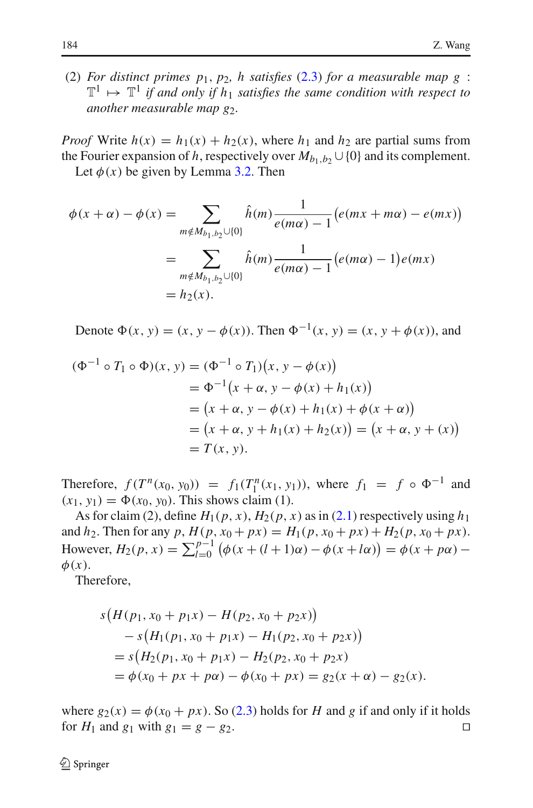(2) *For distinct primes*  $p_1$ ,  $p_2$ , *h satisfies* [\(2.3\)](#page-3-6) *for a measurable map g*:  $\mathbb{T}^1 \mapsto \mathbb{T}^1$  *if and only if h<sub>1</sub> satisfies the same condition with respect to another measurable map g<sub>2</sub>.* 

*Proof* Write  $h(x) = h_1(x) + h_2(x)$ , where  $h_1$  and  $h_2$  are partial sums from the Fourier expansion of *h*, respectively over  $M_{b_1,b_2} \cup \{0\}$  and its complement.

Let  $\phi(x)$  be given by Lemma [3.2.](#page-7-4) Then

$$
\phi(x + \alpha) - \phi(x) = \sum_{m \notin M_{b_1, b_2} \cup \{0\}} \hat{h}(m) \frac{1}{e(m\alpha) - 1} \big(e(mx + m\alpha) - e(mx)\big)
$$
  
= 
$$
\sum_{m \notin M_{b_1, b_2} \cup \{0\}} \hat{h}(m) \frac{1}{e(m\alpha) - 1} \big(e(m\alpha) - 1\big)e(mx)
$$
  
= 
$$
h_2(x).
$$

Denote  $\Phi(x, y) = (x, y - \phi(x))$ . Then  $\Phi^{-1}(x, y) = (x, y + \phi(x))$ , and

$$
(\Phi^{-1} \circ T_1 \circ \Phi)(x, y) = (\Phi^{-1} \circ T_1)(x, y - \phi(x))
$$
  
=  $\Phi^{-1}(x + \alpha, y - \phi(x) + h_1(x))$   
=  $(x + \alpha, y - \phi(x) + h_1(x) + \phi(x + \alpha))$   
=  $(x + \alpha, y + h_1(x) + h_2(x)) = (x + \alpha, y + (x))$   
=  $T(x, y).$ 

Therefore,  $f(T^n(x_0, y_0)) = f_1(T_1^n(x_1, y_1))$ , where  $f_1 = f \circ \Phi^{-1}$  and  $(x_1, y_1) = \Phi(x_0, y_0)$ . This shows claim (1).

As for claim (2), define  $H_1(p, x)$ ,  $H_2(p, x)$  as in [\(2.1\)](#page-3-1) respectively using  $h_1$ and *h*<sub>2</sub>. Then for any *p*,  $H(p, x_0 + px) = H_1(p, x_0 + px) + H_2(p, x_0 + px)$ . However,  $H_2(p, x) = \sum_{l=0}^{p-1} (\phi(x + (l+1)\alpha) - \phi(x + l\alpha)) = \phi(x + p\alpha) \phi(x)$ .

Therefore,

$$
s(H(p_1, x_0 + p_1x) - H(p_2, x_0 + p_2x))
$$
  
\n
$$
- s(H_1(p_1, x_0 + p_1x) - H_1(p_2, x_0 + p_2x))
$$
  
\n
$$
= s(H_2(p_1, x_0 + p_1x) - H_2(p_2, x_0 + p_2x))
$$
  
\n
$$
= \phi(x_0 + px + p\alpha) - \phi(x_0 + px) = g_2(x + \alpha) - g_2(x).
$$

where  $g_2(x) = \phi(x_0 + px)$ . So [\(2.3\)](#page-3-6) holds for *H* and *g* if and only if it holds for *H*<sub>1</sub> and  $g_1$  with  $g_1 = g - g_2$ . for  $H_1$  and  $g_1$  with  $g_1 = g - g_2$ .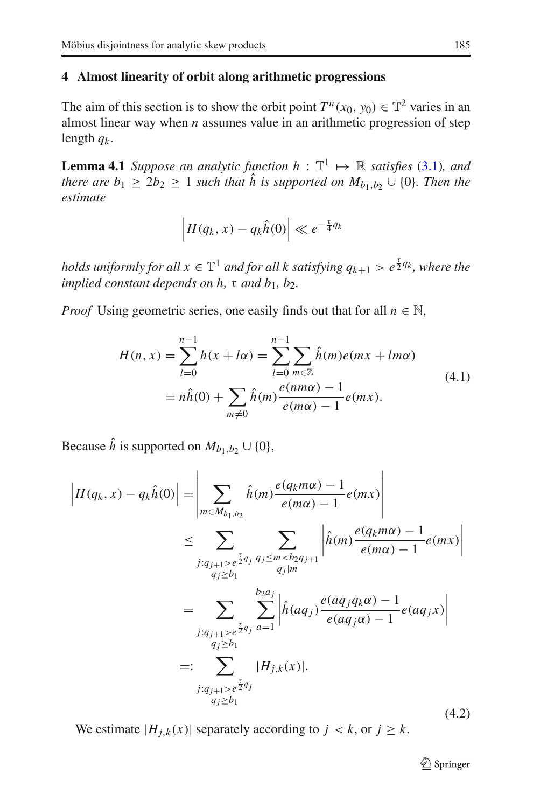## <span id="page-10-0"></span>**4 Almost linearity of orbit along arithmetic progressions**

The aim of this section is to show the orbit point  $T^n(x_0, y_0) \in \mathbb{T}^2$  varies in an almost linear way when *n* assumes value in an arithmetic progression of step length *qk* .

<span id="page-10-2"></span>**Lemma 4.1** *Suppose an analytic function h* :  $\mathbb{T}^1 \mapsto \mathbb{R}$  *satisfies* [\(3.1\)](#page-7-2)*, and there are*  $b_1 \geq 2b_2 \geq 1$  *<i>such that*  $\hat{h}$  *is supported on*  $M_{b_1,b_2} \cup \{0\}$ *. Then the estimate*

$$
\left|H(q_k, x) - q_k \hat{h}(0)\right| \ll e^{-\frac{\tau}{4}q_k}
$$

*holds uniformly for all*  $x \in \mathbb{T}^1$  *and for all k satisfying*  $q_{k+1} > e^{\frac{\tau}{2}q_k}$ *, where the implied constant depends on h,*  $\tau$  *and b*<sub>1</sub>*, b*<sub>2</sub>*.* 

<span id="page-10-3"></span>*Proof* Using geometric series, one easily finds out that for all  $n \in \mathbb{N}$ ,

$$
H(n, x) = \sum_{l=0}^{n-1} h(x + l\alpha) = \sum_{l=0}^{n-1} \sum_{m \in \mathbb{Z}} \hat{h}(m)e(mx + lm\alpha)
$$
  
=  $n\hat{h}(0) + \sum_{m \neq 0} \hat{h}(m)\frac{e(nm\alpha) - 1}{e(m\alpha) - 1}e(mx).$  (4.1)

Because  $\hat{h}$  is supported on  $M_{b_1,b_2} \cup \{0\}$ ,

<span id="page-10-1"></span>
$$
\left| H(q_k, x) - q_k \hat{h}(0) \right| = \left| \sum_{m \in M_{b_1, b_2}} \hat{h}(m) \frac{e(q_k m\alpha) - 1}{e(m\alpha) - 1} e(mx) \right|
$$
  
\n
$$
\leq \sum_{j: q_{j+1} > e^{\frac{r}{2}q_j}} \sum_{q_j \leq m < b_2 q_{j+1}} \left| \hat{h}(m) \frac{e(q_k m\alpha) - 1}{e(m\alpha) - 1} e(mx) \right|
$$
  
\n
$$
= \sum_{j: q_{j+1} > e^{\frac{r}{2}q_j}} \sum_{q_j \geq h_1} \left| \hat{h}(aq_j) \frac{e(aq_j q_k \alpha) - 1}{e(aq_j \alpha) - 1} e(aq_j x) \right|
$$
  
\n
$$
=: \sum_{q_j \geq b_1} |H_{j,k}(x)|.
$$
  
\n
$$
= \sum_{j: q_{j+1} > e^{\frac{r}{2}q_j}} |H_{j,k}(x)|.
$$
  
\n(4.2)

We estimate  $|H_{i,k}(x)|$  separately according to  $j < k$ , or  $j \ge k$ .

 $\bigcirc$  Springer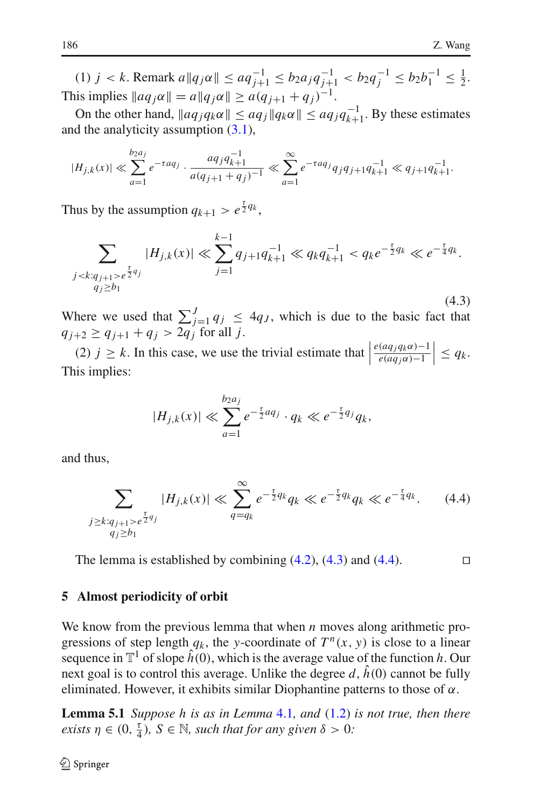$(1)$  *j* < *k*. Remark  $a||q_j \alpha|| \le aq_{j+1}^{-1} \le b_2 a_j q_{j+1}^{-1} < b_2 q_j^{-1} \le b_2 b_1^{-1} \le \frac{1}{2}$ . This implies  $\|aq_j\alpha\| = a\|q_j\alpha\| \geq a(q_{j+1} + q_j)^{-1}$ .

On the other hand,  $||aq_jq_k\alpha|| \le aq_j ||q_k\alpha|| \le aq_jq_{k+1}^{-1}$ . By these estimates and the analyticity assumption  $(3.1)$ ,

$$
|H_{j,k}(x)| \ll \sum_{a=1}^{b_2 a_j} e^{-\tau a q_j} \cdot \frac{a q_j q_{k+1}^{-1}}{a (q_{j+1} + q_j)^{-1}} \ll \sum_{a=1}^{\infty} e^{-\tau a q_j} q_j q_{j+1} q_{k+1}^{-1} \ll q_{j+1} q_{k+1}^{-1}.
$$

<span id="page-11-1"></span>Thus by the assumption  $q_{k+1} > e^{\frac{\tau}{2}q_k}$ ,

$$
\sum_{\substack{j < k: q_{j+1} > e^{\frac{\tau}{2}q_j} \\ q_j \ge b_1}} |H_{j,k}(x)| \ll \sum_{j=1}^{k-1} q_{j+1} q_{k+1}^{-1} \ll q_k q_{k+1}^{-1} < q_k e^{-\frac{\tau}{2}q_k} \ll e^{-\frac{\tau}{4}q_k}.
$$
\n
$$
(4.3)
$$

Where we used that  $\sum_{j=1}^{J} q_j \leq 4q_J$ , which is due to the basic fact that  $q_{j+2} \geq q_{j+1} + q_j > 2q_j$  for all *j*.

(2)  $j \ge k$ . In this case, we use the trivial estimate that  $\Big|$  $e(aq_jq_k\alpha)-1$  $e(aq_j\alpha)-1$  $\Big| \leq q_k.$ This implies:

$$
|H_{j,k}(x)| \ll \sum_{a=1}^{b_2 a_j} e^{-\frac{\tau}{2} a q_j} \cdot q_k \ll e^{-\frac{\tau}{2} q_j} q_k,
$$

<span id="page-11-2"></span>and thus,

$$
\sum_{\substack{j \ge k: q_{j+1} > e^{\frac{\tau}{2}q_j} \\ q_j \ge b_1}} |H_{j,k}(x)| \ll \sum_{q=q_k}^{\infty} e^{-\frac{\tau}{2}q_k} q_k \ll e^{-\frac{\tau}{2}q_k} q_k \ll e^{-\frac{\tau}{4}q_k}.
$$
 (4.4)

The lemma is established by combining  $(4.2)$ ,  $(4.3)$  and  $(4.4)$ .

## <span id="page-11-0"></span>**5 Almost periodicity of orbit**

We know from the previous lemma that when *n* moves along arithmetic progressions of step length  $q_k$ , the *y*-coordinate of  $T^n(x, y)$  is close to a linear sequence in  $\mathbb{T}^1$  of slope  $\hat{h}(0)$ , which is the average value of the function *h*. Our next goal is to control this average. Unlike the degree  $d$ ,  $\hat{h}(0)$  cannot be fully eliminated. However, it exhibits similar Diophantine patterns to those of  $\alpha$ .

<span id="page-11-3"></span>**Lemma 5.1** *Suppose h is as in Lemma* [4.1](#page-10-2)*, and* [\(1.2\)](#page-1-1) *is not true, then there exists*  $\eta \in (0, \frac{\tau}{4})$ ,  $S \in \mathbb{N}$ , such that for any given  $\delta > 0$ :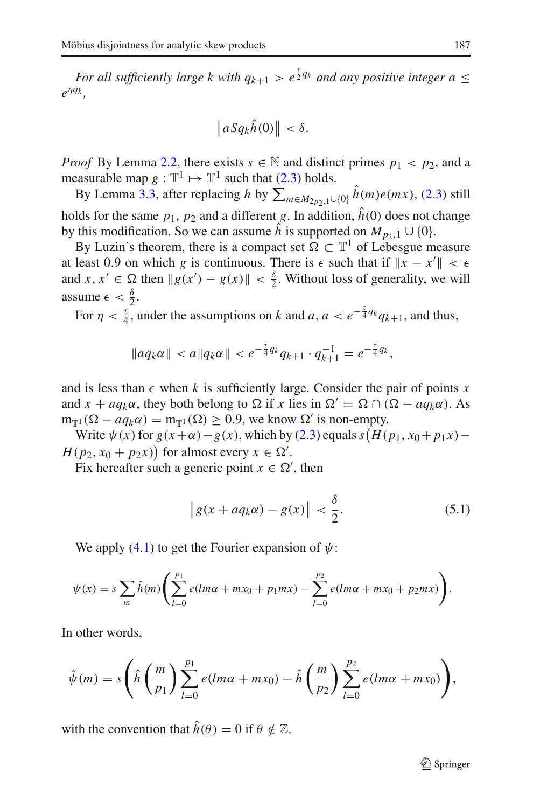*For all sufficiently large k with*  $q_{k+1} > e^{\frac{\tau}{2}q_k}$  *and any positive integer a*  $\leq$  $e^{\eta q_k}$ .

$$
\|aSq_k\hat{h}(0)\|<\delta.
$$

*Proof* By Lemma [2.2,](#page-3-3) there exists  $s \in \mathbb{N}$  and distinct primes  $p_1 < p_2$ , and a measurable map  $g : \mathbb{T}^1 \mapsto \mathbb{T}^1$  such that [\(2.3\)](#page-3-6) holds.

By Lemma [3.3,](#page-8-2) after replacing *h* by  $\sum_{m \in M_{2p_2,1} \cup \{0\}} h(m)e(mx)$ , [\(2.3\)](#page-3-6) still holds for the same  $p_1$ ,  $p_2$  and a different *g*. In addition,  $\hat{h}(0)$  does not change by this modification. So we can assume  $\hat{h}$  is supported on  $M_{p_2,1} \cup \{0\}$ .

By Luzin's theorem, there is a compact set  $\Omega \subset \mathbb{T}^1$  of Lebesgue measure at least 0.9 on which *g* is continuous. There is  $\epsilon$  such that if  $\|x - x'\| < \epsilon$ and  $x, x' \in \Omega$  then  $\|g(x') - g(x)\| < \frac{\delta}{2}$ . Without loss of generality, we will assume  $\epsilon < \frac{\delta}{2}$ .

For  $\eta < \frac{\tau}{4}$ , under the assumptions on *k* and *a*,  $a < e^{-\frac{\tau}{4}q_k}q_{k+1}$ , and thus,

$$
\|aq_k\alpha\| < a\|q_k\alpha\| < e^{-\frac{\tau}{4}q_k}q_{k+1} \cdot q_{k+1}^{-1} = e^{-\frac{\tau}{4}q_k},
$$

and is less than  $\epsilon$  when *k* is sufficiently large. Consider the pair of points *x* and  $x + a q_k \alpha$ , they both belong to  $\Omega$  if *x* lies in  $\Omega' = \Omega \cap (\Omega - a q_k \alpha)$ . As  $m_{\mathbb{T}^1}(\Omega - a q_k \alpha) = m_{\mathbb{T}^1}(\Omega) \geq 0.9$ , we know  $\Omega'$  is non-empty.

Write  $\psi(x)$  for  $g(x+\alpha)-g(x)$ , which by [\(2.3\)](#page-3-6) equals  $s(H(p_1, x_0+p_1x)-g(x))$  $H(p_2, x_0 + p_2x)$  for almost every  $x \in \Omega'$ .

<span id="page-12-0"></span>Fix hereafter such a generic point  $x \in \Omega'$ , then

$$
\|g(x + aq_k\alpha) - g(x)\| < \frac{\delta}{2}.\tag{5.1}
$$

We apply  $(4.1)$  to get the Fourier expansion of  $\psi$ :

$$
\psi(x) = s \sum_{m} \hat{h}(m) \left( \sum_{l=0}^{p_1} e(lm\alpha + mx_0 + p_1mx) - \sum_{l=0}^{p_2} e(lm\alpha + mx_0 + p_2mx) \right).
$$

In other words,

$$
\hat{\psi}(m) = s \left( \hat{h} \left( \frac{m}{p_1} \right) \sum_{l=0}^{p_1} e(lm\alpha + mx_0) - \hat{h} \left( \frac{m}{p_2} \right) \sum_{l=0}^{p_2} e(lm\alpha + mx_0) \right),
$$

with the convention that  $\hat{h}(\theta) = 0$  if  $\theta \notin \mathbb{Z}$ .

 $\circledcirc$  Springer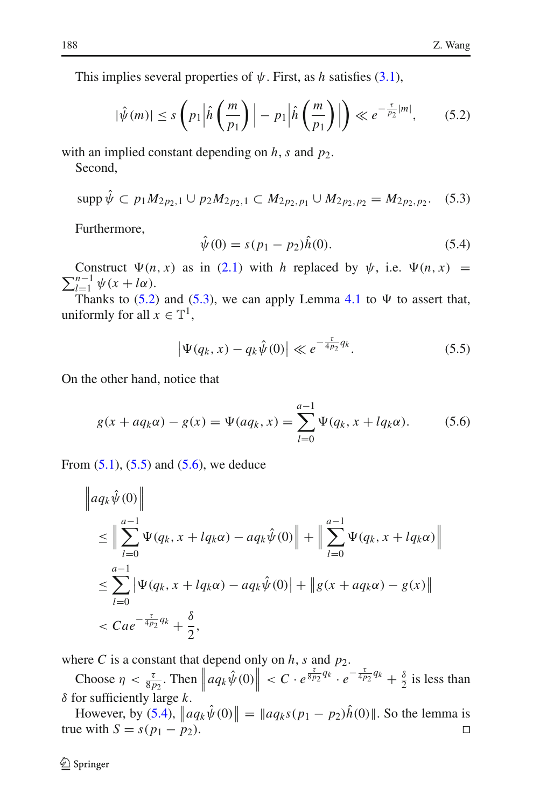This implies several properties of  $\psi$ . First, as *h* satisfies [\(3.1\)](#page-7-2),

$$
|\hat{\psi}(m)| \le s \left( p_1 \left| \hat{h}\left(\frac{m}{p_1}\right) \right| - p_1 \left| \hat{h}\left(\frac{m}{p_1}\right) \right| \right) \ll e^{-\frac{\tau}{p_2}|m|}, \quad (5.2)
$$

<span id="page-13-1"></span><span id="page-13-0"></span>with an implied constant depending on  $h$ ,  $s$  and  $p_2$ .

Second,

$$
\mathrm{supp}\,\hat{\psi}\subset p_1M_{2p_2,1}\cup p_2M_{2p_2,1}\subset M_{2p_2,p_1}\cup M_{2p_2,p_2}=M_{2p_2,p_2}.\quad(5.3)
$$

<span id="page-13-4"></span>Furthermore,

$$
\hat{\psi}(0) = s(p_1 - p_2)\hat{h}(0). \tag{5.4}
$$

 $\sum_{l=1}^{n-1} \psi(x + l\alpha).$ Construct  $\Psi(n, x)$  as in [\(2.1\)](#page-3-1) with *h* replaced by  $\psi$ , i.e.  $\Psi(n, x)$  =

Thanks to  $(5.2)$  and  $(5.3)$ , we can apply Lemma [4.1](#page-10-2) to  $\Psi$  to assert that, uniformly for all  $x \in \mathbb{T}^1$ ,

$$
|\Psi(q_k, x) - q_k \hat{\psi}(0)| \ll e^{-\frac{\tau}{4p_2} q_k}.
$$
 (5.5)

<span id="page-13-3"></span><span id="page-13-2"></span>On the other hand, notice that

$$
g(x + aq_k\alpha) - g(x) = \Psi(aq_k, x) = \sum_{l=0}^{a-1} \Psi(q_k, x + lq_k\alpha).
$$
 (5.6)

From  $(5.1)$ ,  $(5.5)$  and  $(5.6)$ , we deduce

$$
\|a q_k \hat{\psi}(0)\|
$$
  
\n
$$
\leq \Big\| \sum_{l=0}^{a-1} \Psi(q_k, x + l q_k \alpha) - a q_k \hat{\psi}(0) \Big\| + \Big\| \sum_{l=0}^{a-1} \Psi(q_k, x + l q_k \alpha) \Big\|
$$
  
\n
$$
\leq \sum_{l=0}^{a-1} |\Psi(q_k, x + l q_k \alpha) - a q_k \hat{\psi}(0)| + \|g(x + a q_k \alpha) - g(x)\|
$$
  
\n
$$
< Cae^{-\frac{\tau}{4p_2}q_k} + \frac{\delta}{2},
$$

where *C* is a constant that depend only on  $h$ ,  $s$  and  $p_2$ .

Choose  $\eta < \frac{\tau}{8p_2}$ . Then  $\left\| aq_k \hat{\psi}(0) \right\| < C \cdot e^{\frac{\tau}{8p_2} q_k} \cdot e^{-\frac{\tau}{4p_2} q_k} + \frac{\delta}{2}$  is less than δ for sufficiently large *k*.

However, by [\(5.4\)](#page-13-4),  $\|aq_k\hat{\psi}(0)\| = \|aq_ks(p_1 - p_2)\hat{h}(0)\|$ . So the lemma is true with  $S = s(p_1 - p_2)$ .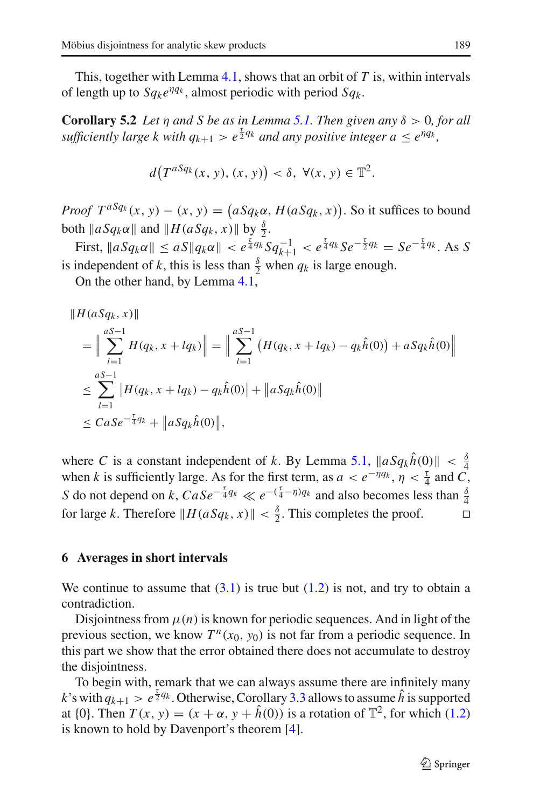This, together with Lemma [4.1,](#page-10-2) shows that an orbit of *T* is, within intervals of length up to  $Sq_k e^{\eta q_k}$ , almost periodic with period  $Sq_k$ .

**Corollary 5.2** *Let*  $\eta$  *and*  $S$  *be as in Lemma* [5.1.](#page-11-3) *Then given any*  $\delta > 0$ *, for all sufficiently large k with*  $q_{k+1} > e^{\frac{\tau}{2}q_k}$  *and any positive integer*  $a \leq e^{\eta q_k}$ *,* 

<span id="page-14-1"></span>
$$
d(T^{aSq_k}(x, y), (x, y)) < \delta, \ \forall (x, y) \in \mathbb{T}^2.
$$

*Proof T*<sup>*aSq<sub>k</sub>*</sup>(*x*, *y*) – (*x*, *y*) = ( $aSq_k\alpha$ ,  $H(aSq_k, x)$ ). So it suffices to bound both  $\|aSq_k\alpha\|$  and  $\|H(aSq_k, x)\|$  by  $\frac{\delta}{2}$ .

First,  $\|aSq_k\alpha\| \leq aS\|q_k\alpha\| < e^{\frac{\tau}{4}q_k}Sq_{k+1}^{-1} < e^{\frac{\tau}{4}q_k}Se^{-\frac{\tau}{2}q_k} = Se^{-\frac{\tau}{4}q_k}$ . As *S* is independent of *k*, this is less than  $\frac{\delta}{2}$  when  $q_k$  is large enough.

On the other hand, by Lemma [4.1,](#page-10-2)

$$
||H(aSq_k, x)||
$$
  
=  $\|\sum_{l=1}^{aS-1} H(q_k, x + lq_k)\|$  =  $\|\sum_{l=1}^{aS-1} (H(q_k, x + lq_k) - q_k\hat{h}(0)) + aSq_k\hat{h}(0)\|$   
 $\leq \sum_{l=1}^{aS-1} |H(q_k, x + lq_k) - q_k\hat{h}(0)| + \|aSq_k\hat{h}(0)\|$   
 $\leq C aSe^{-\frac{\tau}{4}q_k} + \|aSq_k\hat{h}(0)\|,$ 

where *C* is a constant independent of *k*. By Lemma [5.1,](#page-11-3)  $\|aSq_k\hat{h}(0)\| < \frac{\delta}{4}$ when *k* is sufficiently large. As for the first term, as  $a < e^{-\eta q_k}$ ,  $\eta < \frac{\tau}{4}$  and  $C$ , *S* do not depend on *k*,  $CaSe^{-\frac{\tau}{4}q_k} \ll e^{-(\frac{\tau}{4} - \eta)q_k}$  and also becomes less than  $\frac{\delta}{4}$ for large *k*. Therefore  $||H(aSq_k, x)|| < \frac{\delta}{2}$ . This completes the proof.

#### <span id="page-14-0"></span>**6 Averages in short intervals**

We continue to assume that  $(3.1)$  is true but  $(1.2)$  is not, and try to obtain a contradiction.

Disjointness from  $\mu(n)$  is known for periodic sequences. And in light of the previous section, we know  $T^n(x_0, y_0)$  is not far from a periodic sequence. In this part we show that the error obtained there does not accumulate to destroy the disjointness.

To begin with, remark that we can always assume there are infinitely many *k*'s with  $q_{k+1} > e^{\frac{\tau}{2}q_k}$ . Otherwise, Corollary [3.3](#page-8-2) allows to assume  $\hat{h}$  is supported at {0}. Then  $T(x, y) = (x + \alpha, y + \hat{h}(0))$  is a rotation of  $\mathbb{T}^2$ , for which [\(1.2\)](#page-1-1) is known to hold by Davenport's theorem [\[4\]](#page-20-1).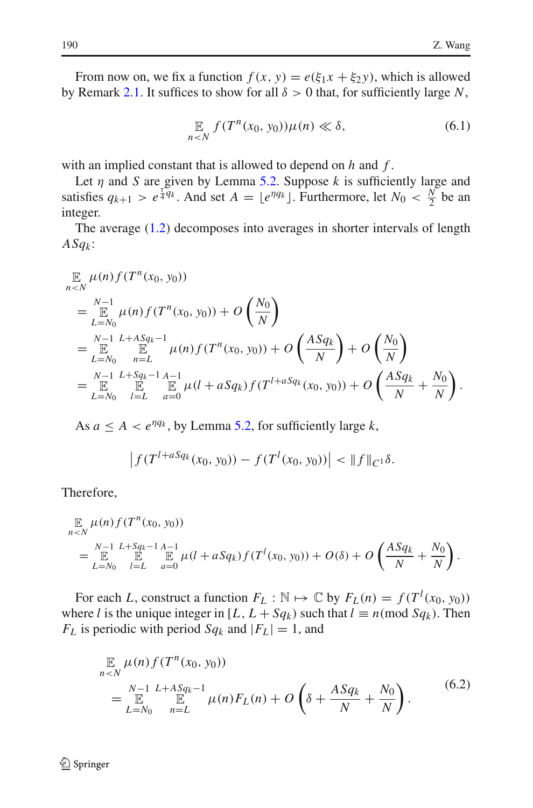From now on, we fix a function  $f(x, y) = e(\xi_1 x + \xi_2 y)$ , which is allowed by Remark [2.1.](#page-3-4) It suffices to show for all  $\delta > 0$  that, for sufficiently large N,

$$
\mathop{\mathbb{E}}_{n\leq N} f(T^n(x_0, y_0))\mu(n) \ll \delta,\tag{6.1}
$$

<span id="page-15-0"></span>with an implied constant that is allowed to depend on *h* and *f* .

Let  $\eta$  and *S* are given by Lemma [5.2.](#page-14-1) Suppose  $k$  is sufficiently large and satisfies  $q_{k+1} > e^{\frac{\tau}{4}q_k}$ . And set  $A = \lfloor e^{\eta q_k} \rfloor$ . Furthermore, let  $N_0 < \frac{N}{2}$  be an integer.

The average [\(1.2\)](#page-1-1) decomposes into averages in shorter intervals of length *ASqk* :

$$
\mathbb{E}_{n \leq N} \mu(n) f(T^{n}(x_{0}, y_{0}))
$$
\n
$$
= \mathbb{E}_{L=N_{0}}^{N-1} \mu(n) f(T^{n}(x_{0}, y_{0})) + O\left(\frac{N_{0}}{N}\right)
$$
\n
$$
= \mathbb{E}_{L=N_{0}}^{N-1} \mathbb{E}_{n=L}^{L+ASq_{k}-1} \mu(n) f(T^{n}(x_{0}, y_{0})) + O\left(\frac{ASq_{k}}{N}\right) + O\left(\frac{N_{0}}{N}\right)
$$
\n
$$
= \mathbb{E}_{L=N_{0}}^{N-1} \mathbb{E}_{L=K}^{Sq_{k}-1} \mathbb{E}_{n=L}^{A-1} \mu(l+asq_{k}) f(T^{l+asq_{k}}(x_{0}, y_{0})) + O\left(\frac{ASq_{k}}{N} + \frac{N_{0}}{N}\right).
$$

As  $a \leq A < e^{\eta q_k}$ , by Lemma [5.2,](#page-14-1) for sufficiently large *k*,

$$
\left|f(T^{l+aSq_k}(x_0, y_0)) - f(T^l(x_0, y_0))\right| < \|f\|_{C^1}\delta.
$$

Therefore,

$$
\mathbb{E}_{n\n
$$
= \mathbb{E}_{L=N_0}^{N-1} \mathbb{E}_{L=K}^{L+Sq_{k-1} A-1} \mu(l+aSq_k) f(T^l(x_0, y_0)) + O(\delta) + O\left(\frac{ASq_k}{N} + \frac{N_0}{N}\right).
$$
$$

For each *L*, construct a function  $F_L : \mathbb{N} \mapsto \mathbb{C}$  by  $F_L(n) = f(T^l(x_0, y_0))$ where *l* is the unique integer in [*L*,  $L + Sq_k$ ) such that  $l \equiv n \pmod{Sq_k}$ . Then  $F_L$  is periodic with period  $Sq_k$  and  $|F_L| = 1$ , and

$$
\mathbb{E}_{n \leq N} \mu(n) f(T^n(x_0, y_0))
$$
\n
$$
= \mathbb{E}_{L=N_0}^{N-1} \mathbb{E}_{n=L}^{L+ASq_k-1} \mu(n) F_L(n) + O\left(\delta + \frac{ASq_k}{N} + \frac{N_0}{N}\right).
$$
\n(6.2)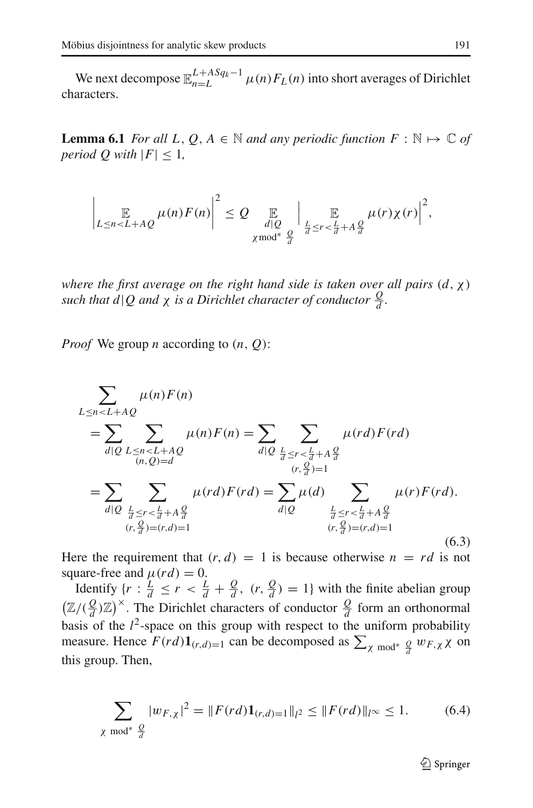We next decompose  $\mathbb{E}_{n=L}^{L+ASq_k-1}$   $\mu(n)F_L(n)$  into short averages of Dirichlet characters.

**Lemma 6.1** *For all L*,  $Q$ ,  $A \in \mathbb{N}$  *and any periodic function*  $F : \mathbb{N} \mapsto \mathbb{C}$  *of period Q with*  $|F| < 1$ ,

$$
\left|\mathop{\mathbb{E}}_{L\leq n
$$

*where the first average on the right hand side is taken over all pairs* (*d*,χ) *such that d*|*Q* and  $\chi$  *is a Dirichlet character of conductor*  $\frac{Q}{d}$ *.* 

*Proof* We group *n* according to (*n*, *Q*):

<span id="page-16-0"></span>
$$
\sum_{L \le n < L + AQ} \mu(n) F(n)
$$
\n
$$
= \sum_{d|Q} \sum_{\substack{L \le n < L + AQ \\ (n, Q) = d}} \mu(n) F(n) = \sum_{d|Q} \sum_{\substack{L \le r < \frac{L}{d} + A\frac{Q}{d} \\ (r, \frac{Q}{d}) = 1}} \mu(rd) F(rd)
$$
\n
$$
= \sum_{d|Q} \sum_{\substack{L \le r < \frac{L}{d} + A\frac{Q}{d} \\ (r, \frac{Q}{d}) = (r, d) = 1}} \mu(rd) F(rd) = \sum_{d|Q} \mu(d) \sum_{\substack{L \le r < \frac{L}{d} + A\frac{Q}{d} \\ (r, \frac{Q}{d}) = (r, d) = 1}} \mu(r) F(rd).
$$
\n(6.3)

Here the requirement that  $(r, d) = 1$  is because otherwise  $n = rd$  is not square-free and  $\mu$ (*rd*) = 0.

Identify  $\{r : \frac{L}{d} \le r < \frac{L}{d} + \frac{Q}{d}, (r, \frac{Q}{d}) = 1\}$  with the finite abelian group  $(\mathbb{Z}/(\frac{Q}{d})\mathbb{Z})^{\times}$ . The Dirichlet characters of conductor  $\frac{Q}{d}$  form an orthonormal basis of the  $l^2$ -space on this group with respect to the uniform probability measure. Hence  $F(rd)\mathbf{1}_{(r,d)=1}$  can be decomposed as  $\sum_{\chi \bmod^*} \frac{Q}{d} w_{F,\chi} \chi$  on this group. Then,

$$
\sum_{\chi \bmod^* \frac{Q}{d}} |w_{F,\chi}|^2 = \|F(rd)\mathbf{1}_{(r,d)=1}\|_{l^2} \le \|F(rd)\|_{l^\infty} \le 1. \tag{6.4}
$$

 $\circledcirc$  Springer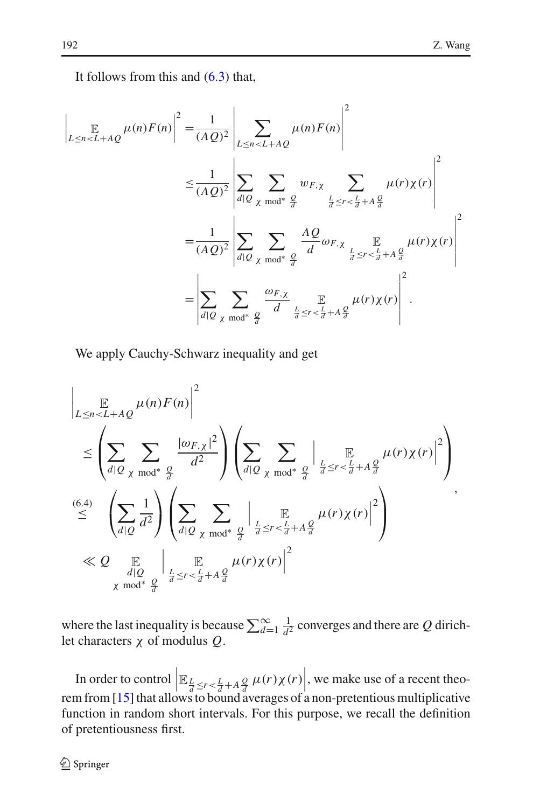It follows from this and [\(6.3\)](#page-16-0) that,

$$
\left| \mathop{\mathbb{E}}_{L \leq n < L + AQ} \mu(n) F(n) \right|^2 = \frac{1}{(AQ)^2} \left| \sum_{L \leq n < L + AQ} \mu(n) F(n) \right|^2
$$
\n
$$
\leq \frac{1}{(AQ)^2} \left| \sum_{d|Q} \sum_{\chi \bmod^* \frac{Q}{d}} w_{F,\chi} \sum_{\frac{L}{d} \leq r < \frac{L}{d} + A\frac{Q}{d}} \mu(r) \chi(r) \right|^2
$$
\n
$$
= \frac{1}{(AQ)^2} \left| \sum_{d|Q} \sum_{\chi \bmod^* \frac{Q}{d}} \frac{AQ}{d} \omega_{F,\chi} \sum_{\frac{L}{d} \leq r < \frac{L}{d} + A\frac{Q}{d}} \mu(r) \chi(r) \right|^2
$$
\n
$$
= \left| \sum_{d|Q} \sum_{\chi \bmod^* \frac{Q}{d}} \frac{\omega_{F,\chi}}{d} \mathop{\mathbb{E}}_{\frac{L}{d} \leq r < \frac{L}{d} + A\frac{Q}{d}} \mu(r) \chi(r) \right|^2.
$$

We apply Cauchy-Schwarz inequality and get

$$
\left| \mathop{\mathbb{E}}_{L \leq n < L + AQ} \mu(n) F(n) \right|^2 \leq \left( \sum_{d|Q} \sum_{\chi \bmod^* \frac{Q}{d}} \frac{|\omega_{F,\chi}|^2}{d^2} \right) \left( \sum_{d|Q} \sum_{\chi \bmod^* \frac{Q}{d}} \left| \mathop{\mathbb{E}}_{\frac{L}{d} \leq r < \frac{L}{d} + A\frac{Q}{d}} \mu(r) \chi(r) \right|^2 \right)
$$
\n
$$
\stackrel{(6.4)}{\leq} \left( \sum_{d|Q} \frac{1}{d^2} \right) \left( \sum_{d|Q} \sum_{\chi \bmod^* \frac{Q}{d}} \left| \mathop{\mathbb{E}}_{\frac{L}{d} \leq r < \frac{L}{d} + A\frac{Q}{d}} \mu(r) \chi(r) \right|^2 \right)
$$
\n
$$
\ll Q \underset{\chi \bmod^* \frac{Q}{d}}{\mathbb{E}} \left| \mathop{\mathbb{E}}_{\frac{L}{d} \leq r < \frac{L}{d} + A\frac{Q}{d}} \mu(r) \chi(r) \right|^2
$$

where the last inequality is because  $\sum_{d=1}^{\infty} \frac{1}{d^2}$  converges and there are *Q* dirichlet characters χ of modulus *Q*.

In order to control  $\left| \mathbb{E}_{\frac{L}{d} \leq r < \frac{L}{d} + A\frac{Q}{d}} \mu(r) \chi(r) \right|$ , we make use of a recent theorem from [\[15](#page-21-11)] that allows to bound averages of a non-pretentious multiplicative function in random short intervals. For this purpose, we recall the definition of pretentiousness first.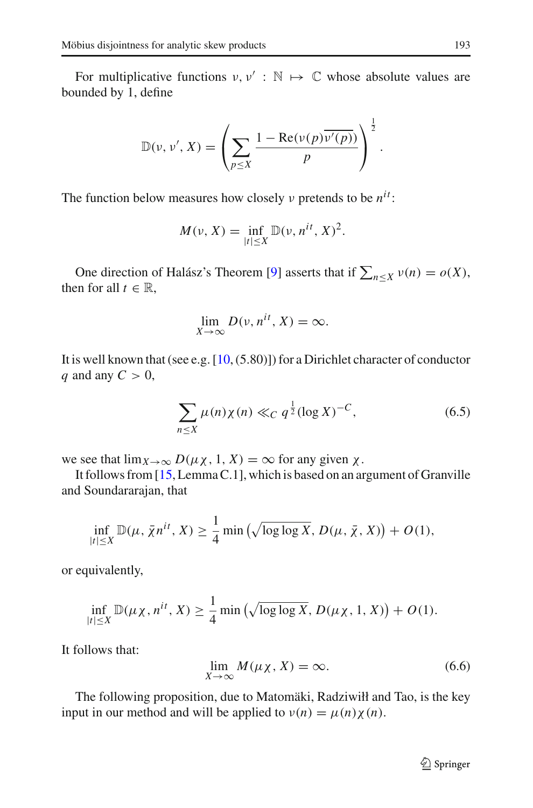For multiplicative functions  $v, v' : \mathbb{N} \mapsto \mathbb{C}$  whose absolute values are bounded by 1, define

$$
\mathbb{D}(\nu, \nu', X) = \left(\sum_{p \leq X} \frac{1 - \text{Re}(\nu(p)\overline{\nu'(p)})}{p}\right)^{\frac{1}{2}}
$$

The function below measures how closely ν pretends to be *nit* :

$$
M(\nu, X) = \inf_{|t| \le X} \mathbb{D}(\nu, n^{it}, X)^2.
$$

One direction of Halász's Theorem [\[9\]](#page-21-13) asserts that if  $\sum_{n \le X} v(n) = o(X)$ , then for all  $t \in \mathbb{R}$ ,

$$
\lim_{X \to \infty} D(\nu, n^{it}, X) = \infty.
$$

It is well known that (see e.g. [\[10,](#page-21-14) (5.80)]) for a Dirichlet character of conductor *q* and any  $C > 0$ ,

$$
\sum_{n \le X} \mu(n) \chi(n) \ll_C q^{\frac{1}{2}} (\log X)^{-C}, \tag{6.5}
$$

we see that  $\lim_{X\to\infty} D(\mu\chi, 1, X) = \infty$  for any given  $\chi$ .

It follows from [\[15](#page-21-11), Lemma C.1], which is based on an argument of Granville and Soundararajan, that

$$
\inf_{|t| \leq X} \mathbb{D}(\mu, \bar{\chi}n^{it}, X) \geq \frac{1}{4} \min \left( \sqrt{\log \log X}, D(\mu, \bar{\chi}, X) \right) + O(1),
$$

or equivalently,

$$
\inf_{|t| \leq X} \mathbb{D}(\mu_X, n^{it}, X) \geq \frac{1}{4} \min \left( \sqrt{\log \log X}, D(\mu_X, 1, X) \right) + O(1).
$$

<span id="page-18-1"></span>It follows that:

$$
\lim_{X \to \infty} M(\mu \chi, X) = \infty. \tag{6.6}
$$

<span id="page-18-0"></span>The following proposition, due to Matomäki, Radziwiłł and Tao, is the key input in our method and will be applied to  $v(n) = \mu(n)\chi(n)$ .

.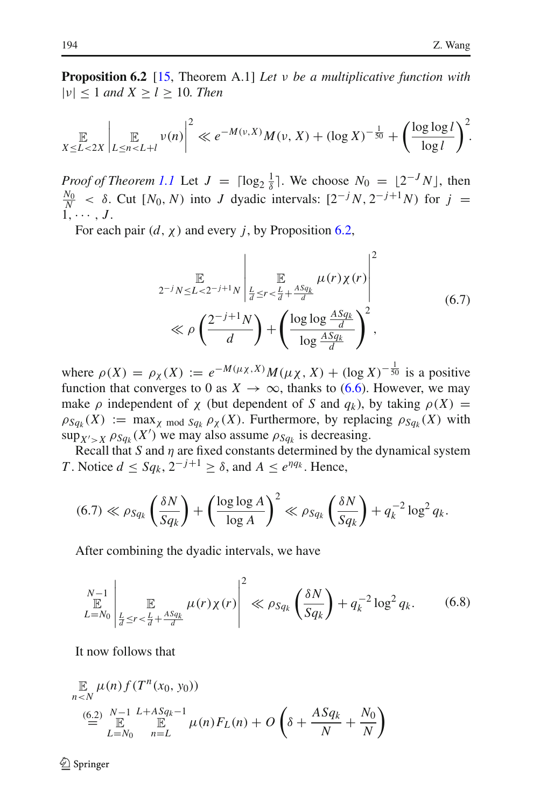**Proposition 6.2** [\[15,](#page-21-11) Theorem A.1] *Let* ν *be a multiplicative function with* |ν| ≤ 1 *and X* ≥ *l* ≥ 10*. Then*

$$
\mathbb{E}_{X \le L < 2X} \left| \mathbb{E}_{X \le n < L + l} \nu(n) \right|^2 \ll e^{-M(\nu, X)} M(\nu, X) + (\log X)^{-\frac{1}{50}} + \left( \frac{\log \log l}{\log l} \right)^2.
$$

*Proof of Theorem [1.1](#page-0-2)* Let  $J = \lceil \log_2 \frac{1}{\delta} \rceil$ . We choose  $N_0 = \lfloor 2^{-J} N \rfloor$ , then  $\frac{N_0}{N}$  <  $\delta$ . Cut [*N*<sub>0</sub>, *N*) into *J* dyadic intervals: [2<sup>-*j*</sup> *N*, 2<sup>-*j*+1</sup>*N*) for *j* =  $1, \cdots, J$ .

For each pair  $(d, \chi)$  and every *j*, by Proposition [6.2,](#page-18-0)

$$
\mathbb{E}_{2^{-j}N \le L < 2^{-j+1}N} \left| \mathbb{E}_{\substack{\frac{L}{d} \le r < \frac{L}{d} + \frac{ASq_k}{d} \\ \log \log \frac{ASq_k}{d} \\ \text{log} \frac{ASq_k}{d}}} \mu(r)\chi(r) \right|^2 \tag{6.7}
$$

where  $\rho(X) = \rho_X(X) := e^{-M(\mu_X, X)} M(\mu_X, X) + (\log X)^{-\frac{1}{50}}$  is a positive function that converges to 0 as  $X \to \infty$ , thanks to [\(6.6\)](#page-18-1). However, we may make  $\rho$  independent of  $\chi$  (but dependent of *S* and  $q_k$ ), by taking  $\rho(X)$  =  $\rho_{Sq_k}(X) := \max_{\chi \text{ mod } Sq_k} \rho_{\chi}(X)$ . Furthermore, by replacing  $\rho_{Sq_k}(X)$  with  $\sup_{X' > X} \rho_{Sq_k}(X')$  we may also assume  $\rho_{Sq_k}$  is decreasing.

Recall that *S* and  $\eta$  are fixed constants determined by the dynamical system *T*. Notice  $d \le Sq_k$ ,  $2^{-j+1} \ge \delta$ , and  $A \le e^{nqa}$ . Hence,

$$
(6.7) \ll \rho_{Sq_k} \left(\frac{\delta N}{Sq_k}\right) + \left(\frac{\log \log A}{\log A}\right)^2 \ll \rho_{Sq_k} \left(\frac{\delta N}{Sq_k}\right) + q_k^{-2} \log^2 q_k.
$$

After combining the dyadic intervals, we have

$$
\sum_{L=N_0}^{N-1} \left| \mathop{\mathbb{E}}_{\frac{L}{d} \le r < \frac{L}{d} + \frac{ASq_k}{d}} \mu(r) \chi(r) \right|^2 \ll \rho_{Sq_k} \left( \frac{\delta N}{Sq_k} \right) + q_k^{-2} \log^2 q_k. \tag{6.8}
$$

It now follows that

$$
\mathbb{E}_{n \leq N} \mu(n) f(T^n(x_0, y_0))
$$
\n
$$
\stackrel{(6.2)}{=} \mathbb{E}_{L=N_0}^{N-1} \mathbb{E}_{n=L}^{L+ASq_k-1} \mu(n) F_L(n) + O\left(\delta + \frac{ASq_k}{N} + \frac{N_0}{N}\right)
$$

 $\circledcirc$  Springer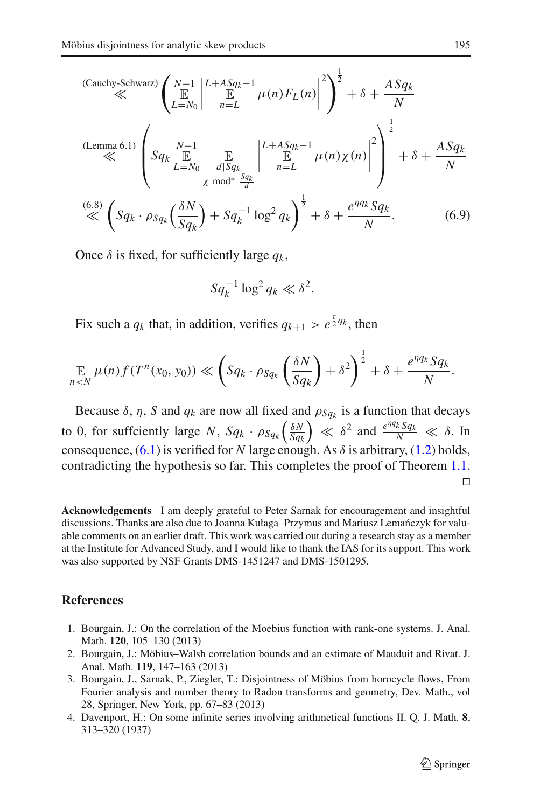(Cauchy-Schwarz) 
$$
\left(\sum_{L=N_0}^{N-1} \left| \sum_{n=L}^{L+ASq_k-1} \mu(n) F_L(n) \right|^2 \right)^{\frac{1}{2}} + \delta + \frac{ASq_k}{N}
$$
  
\n(Lemma 6.1)  $\left(Sq_k \sum_{L=N_0}^{N-1} \prod_{\substack{d|Sq_k \\ d|Sq_k}} \left| \sum_{n=L}^{L+ASq_k-1} \mu(n) \chi(n) \right|^2 \right)^{\frac{1}{2}} + \delta + \frac{ASq_k}{N}$   
\n $\ll$   $\left(Sq_k \cdot \rho_{Sq_k} \left(\frac{\delta N}{Sq_k}\right) + Sq_k^{-1} \log^2 q_k \right)^{\frac{1}{2}} + \delta + \frac{e^{\eta q_k} Sq_k}{N}.$  (6.9)

Once *δ* is fixed, for sufficiently large  $q_k$ ,

$$
Sq_k^{-1} \log^2 q_k \ll \delta^2.
$$

Fix such a  $q_k$  that, in addition, verifies  $q_{k+1} > e^{\frac{\tau}{2}q_k}$ , then

$$
\mathop{\mathbb{E}}_{n\leq N}\mu(n)f(T^{n}(x_0,y_0))\ll \left(Sq_k\cdot \rho_{Sq_k}\left(\frac{\delta N}{Sq_k}\right)+\delta^2\right)^{\frac{1}{2}}+\delta+\frac{e^{\eta q_k}Sq_k}{N}.
$$

Because  $\delta$ ,  $\eta$ , *S* and  $q_k$  are now all fixed and  $\rho_{Sq_k}$  is a function that decays to 0, for suffciently large *N*,  $Sq_k \cdot \rho_{Sq_k} \left( \frac{\delta N}{Sq_l} \right)$  $\left(\frac{\delta N}{Sq_k}\right) \ll \delta^2$  and  $\frac{e^{\eta q_k} Sq_k}{N} \ll \delta$ . In consequence,  $(6.1)$  is verified for *N* large enough. As  $\delta$  is arbitrary,  $(1.2)$  holds, contradicting the hypothesis so far. This completes the proof of Theorem [1.1.](#page-0-2)  $\Box$ 

**Acknowledgements** I am deeply grateful to Peter Sarnak for encouragement and insightful discussions. Thanks are also due to Joanna Kułaga–Przymus and Mariusz Lemańczyk for valuable comments on an earlier draft. This work was carried out during a research stay as a member at the Institute for Advanced Study, and I would like to thank the IAS for its support. This work was also supported by NSF Grants DMS-1451247 and DMS-1501295.

#### <span id="page-20-2"></span><span id="page-20-0"></span>**References**

- 1. Bourgain, J.: On the correlation of the Moebius function with rank-one systems. J. Anal. Math. **120**, 105–130 (2013)
- 2. Bourgain, J.: Möbius–Walsh correlation bounds and an estimate of Mauduit and Rivat. J. Anal. Math. **119**, 147–163 (2013)
- <span id="page-20-3"></span>3. Bourgain, J., Sarnak, P., Ziegler, T.: Disjointness of Möbius from horocycle flows, From Fourier analysis and number theory to Radon transforms and geometry, Dev. Math., vol 28, Springer, New York, pp. 67–83 (2013)
- <span id="page-20-1"></span>4. Davenport, H.: On some infinite series involving arithmetical functions II. Q. J. Math. **8**, 313–320 (1937)